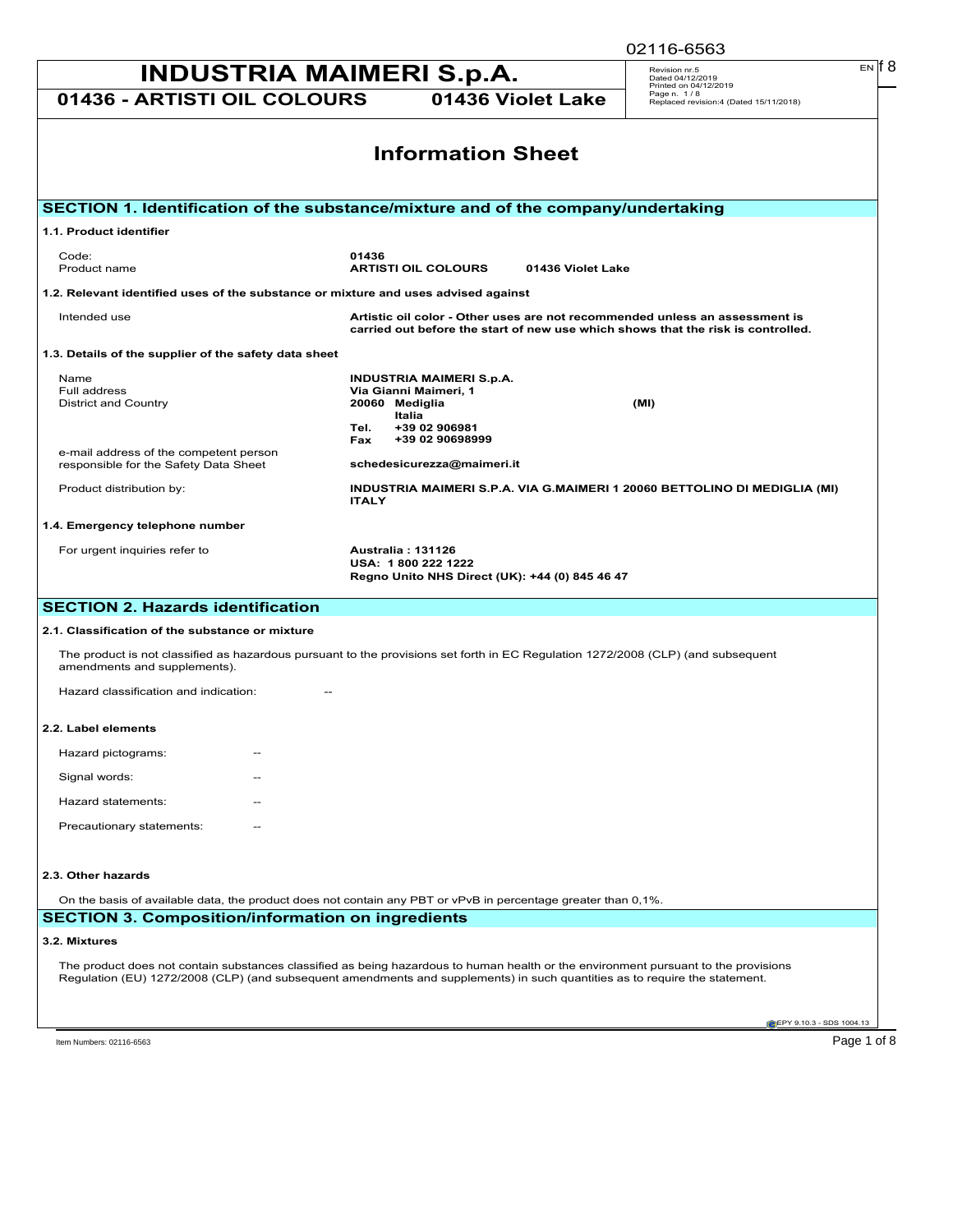| 02116-6563                                                                                                                                                                                                                                                         |                                                                       |
|--------------------------------------------------------------------------------------------------------------------------------------------------------------------------------------------------------------------------------------------------------------------|-----------------------------------------------------------------------|
| <b>INDUSTRIA MAIMERI S.p.A.</b>                                                                                                                                                                                                                                    | EN IT 8<br>Revision nr.5<br>Dated 04/12/2019<br>Printed on 04/12/2019 |
| 01436 - ARTISTI OIL COLOURS<br>01436 Violet Lake                                                                                                                                                                                                                   | Page n. 1/8<br>Replaced revision:4 (Dated 15/11/2018)                 |
| <b>Information Sheet</b>                                                                                                                                                                                                                                           |                                                                       |
|                                                                                                                                                                                                                                                                    |                                                                       |
| SECTION 1. Identification of the substance/mixture and of the company/undertaking                                                                                                                                                                                  |                                                                       |
| 1.1. Product identifier                                                                                                                                                                                                                                            |                                                                       |
| Code:<br>01436<br>Product name<br><b>ARTISTI OIL COLOURS</b><br>01436 Violet Lake                                                                                                                                                                                  |                                                                       |
| 1.2. Relevant identified uses of the substance or mixture and uses advised against                                                                                                                                                                                 |                                                                       |
| Artistic oil color - Other uses are not recommended unless an assessment is<br>Intended use<br>carried out before the start of new use which shows that the risk is controlled.                                                                                    |                                                                       |
| 1.3. Details of the supplier of the safety data sheet                                                                                                                                                                                                              |                                                                       |
| Name<br>INDUSTRIA MAIMERI S.p.A.                                                                                                                                                                                                                                   |                                                                       |
| Via Gianni Maimeri, 1<br>Full address<br>20060 Mediglia<br>District and Country                                                                                                                                                                                    | (MI)                                                                  |
| Italia<br>+39 02 906981<br>Tel.                                                                                                                                                                                                                                    |                                                                       |
| +39 02 90698999<br>Fax<br>e-mail address of the competent person<br>schedesicurezza@maimeri.it<br>responsible for the Safety Data Sheet                                                                                                                            |                                                                       |
| Product distribution by:<br>INDUSTRIA MAIMERI S.P.A. VIA G.MAIMERI 1 20060 BETTOLINO DI MEDIGLIA (MI)<br><b>ITALY</b>                                                                                                                                              |                                                                       |
| 1.4. Emergency telephone number                                                                                                                                                                                                                                    |                                                                       |
| For urgent inquiries refer to<br>Australia: 131126<br>USA: 1800 222 1222<br>Regno Unito NHS Direct (UK): +44 (0) 845 46 47                                                                                                                                         |                                                                       |
| <b>SECTION 2. Hazards identification</b>                                                                                                                                                                                                                           |                                                                       |
| 2.1. Classification of the substance or mixture                                                                                                                                                                                                                    |                                                                       |
| The product is not classified as hazardous pursuant to the provisions set forth in EC Regulation 1272/2008 (CLP) (and subsequent<br>amendments and supplements).                                                                                                   |                                                                       |
| Hazard classification and indication:                                                                                                                                                                                                                              |                                                                       |
| 2.2. Label elements                                                                                                                                                                                                                                                |                                                                       |
| Hazard pictograms:                                                                                                                                                                                                                                                 |                                                                       |
| Signal words:                                                                                                                                                                                                                                                      |                                                                       |
| Hazard statements:                                                                                                                                                                                                                                                 |                                                                       |
| Precautionary statements:                                                                                                                                                                                                                                          |                                                                       |
| 2.3. Other hazards                                                                                                                                                                                                                                                 |                                                                       |
| On the basis of available data, the product does not contain any PBT or vPvB in percentage greater than 0,1%.                                                                                                                                                      |                                                                       |
| <b>SECTION 3. Composition/information on ingredients</b>                                                                                                                                                                                                           |                                                                       |
| 3.2. Mixtures                                                                                                                                                                                                                                                      |                                                                       |
| The product does not contain substances classified as being hazardous to human health or the environment pursuant to the provisions<br>Regulation (EU) 1272/2008 (CLP) (and subsequent amendments and supplements) in such quantities as to require the statement. |                                                                       |
|                                                                                                                                                                                                                                                                    | EPY 9.10.3 - SDS 1004.13                                              |
| Item Numbers: 02116-6563                                                                                                                                                                                                                                           | Page 1 of 8                                                           |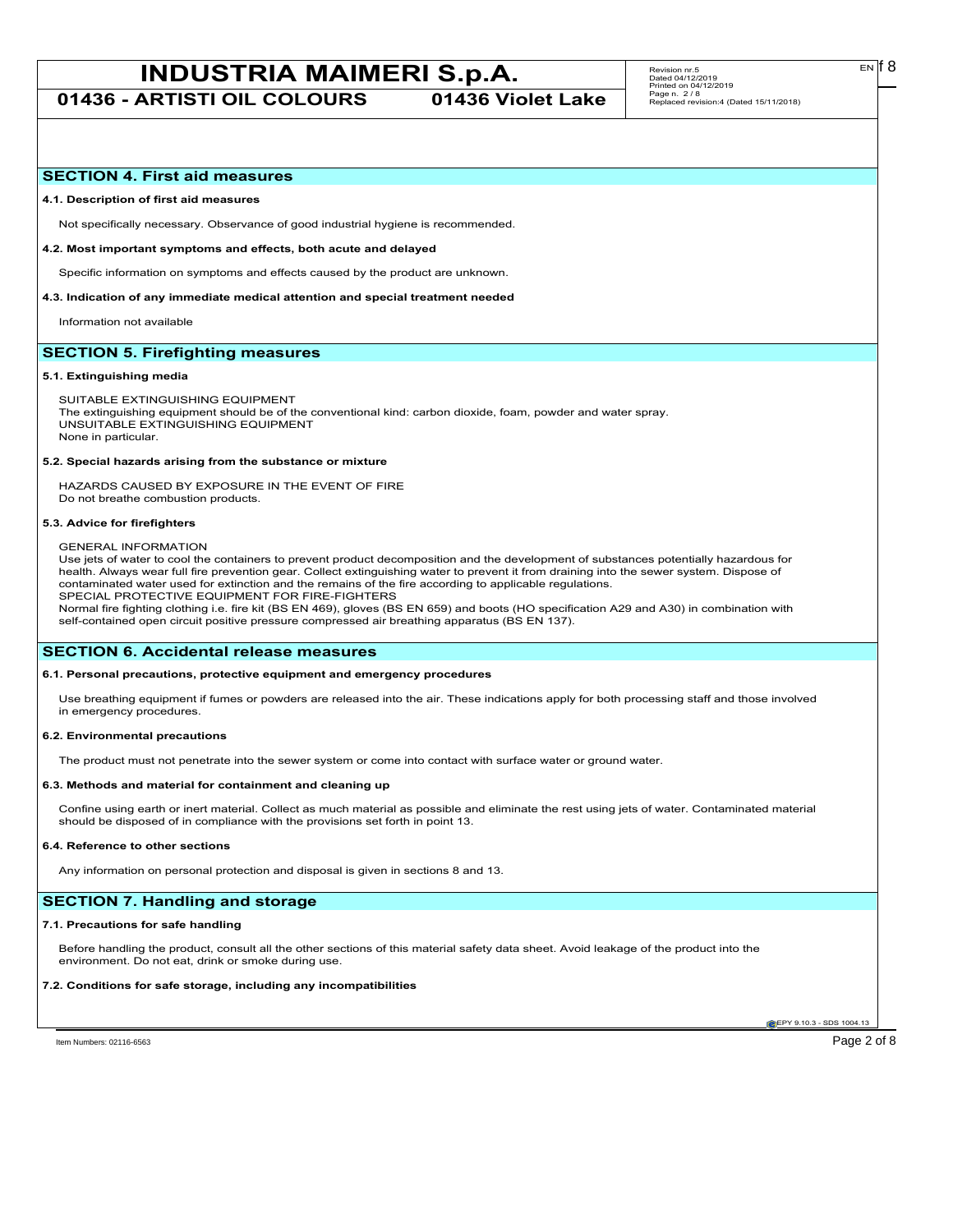**01436 - ARTISTI OIL COLOURS 01436 Violet Lake**

# **SECTION 4. First aid measures**

#### **4.1. Description of first aid measures**

Not specifically necessary. Observance of good industrial hygiene is recommended.

#### **4.2. Most important symptoms and effects, both acute and delayed**

Specific information on symptoms and effects caused by the product are unknown.

**4.3. Indication of any immediate medical attention and special treatment needed**

Information not available

# **SECTION 5. Firefighting measures**

#### **5.1. Extinguishing media**

SUITABLE EXTINGUISHING EQUIPMENT The extinguishing equipment should be of the conventional kind: carbon dioxide, foam, powder and water spray. UNSUITABLE EXTINGUISHING EQUIPMENT None in particular.

#### **5.2. Special hazards arising from the substance or mixture**

HAZARDS CAUSED BY EXPOSURE IN THE EVENT OF FIRE Do not breathe combustion products.

#### **5.3. Advice for firefighters**

#### GENERAL INFORMATION

Use jets of water to cool the containers to prevent product decomposition and the development of substances potentially hazardous for health. Always wear full fire prevention gear. Collect extinguishing water to prevent it from draining into the sewer system. Dispose of contaminated water used for extinction and the remains of the fire according to applicable regulations. SPECIAL PROTECTIVE EQUIPMENT FOR FIRE-FIGHTERS

Normal fire fighting clothing i.e. fire kit (BS EN 469), gloves (BS EN 659) and boots (HO specification A29 and A30) in combination with self-contained open circuit positive pressure compressed air breathing apparatus (BS EN 137).

# **SECTION 6. Accidental release measures**

### **6.1. Personal precautions, protective equipment and emergency procedures**

Use breathing equipment if fumes or powders are released into the air. These indications apply for both processing staff and those involved in emergency procedures.

#### **6.2. Environmental precautions**

The product must not penetrate into the sewer system or come into contact with surface water or ground water.

#### **6.3. Methods and material for containment and cleaning up**

Confine using earth or inert material. Collect as much material as possible and eliminate the rest using jets of water. Contaminated material should be disposed of in compliance with the provisions set forth in point 13.

#### **6.4. Reference to other sections**

Any information on personal protection and disposal is given in sections 8 and 13.

# **SECTION 7. Handling and storage**

#### **7.1. Precautions for safe handling**

Before handling the product, consult all the other sections of this material safety data sheet. Avoid leakage of the product into the environment. Do not eat, drink or smoke during use.

#### **7.2. Conditions for safe storage, including any incompatibilities**

**CEPY 9.10.3 - SDS 1004.1** 

Item Numbers: 02116-6563 Page 2 of 8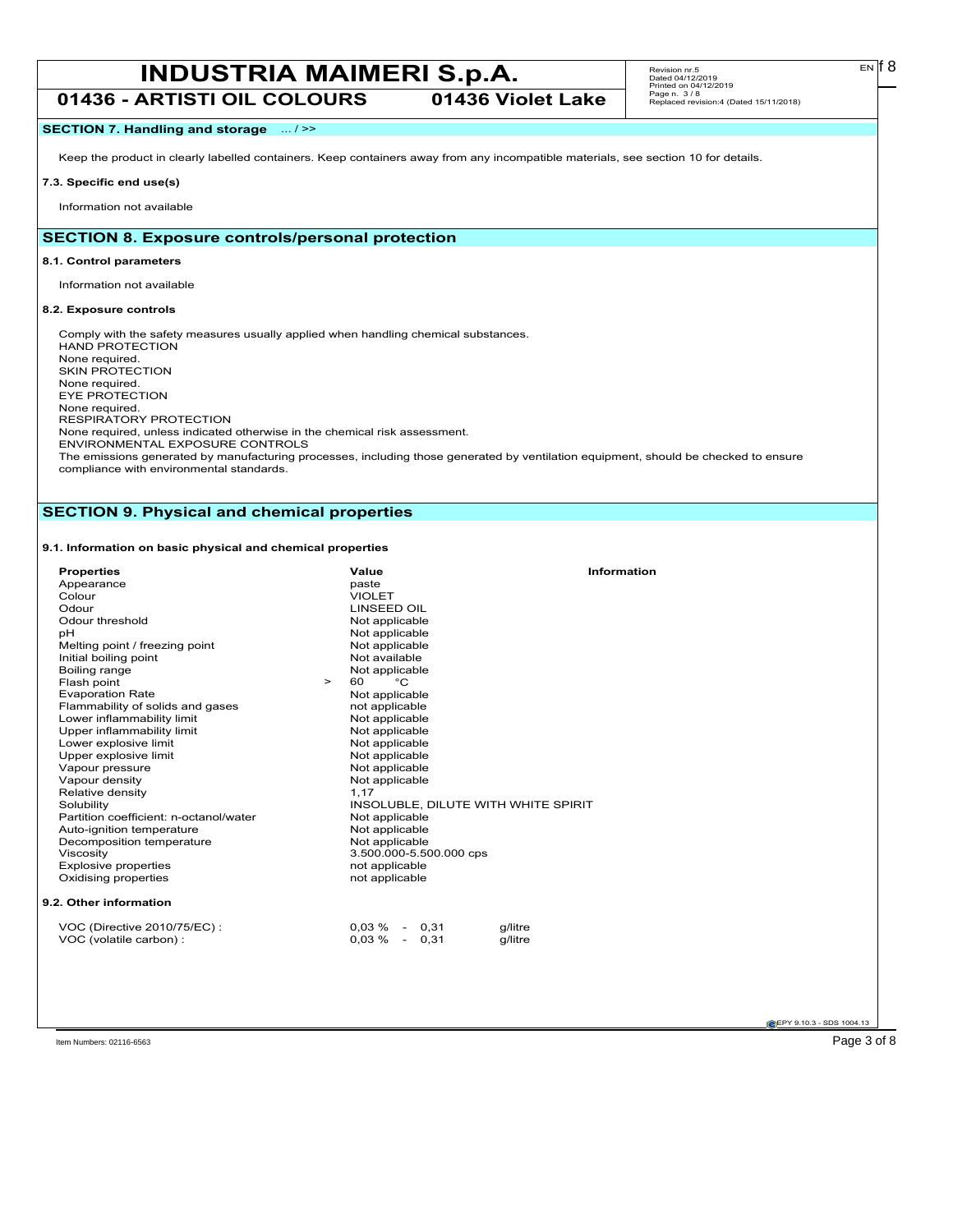**01436 - ARTISTI OIL COLOURS 01436 Violet Lake**

# **SECTION 7. Handling and storage** ... / >>

Keep the product in clearly labelled containers. Keep containers away from any incompatible materials, see section 10 for details.

# **7.3. Specific end use(s)**

Information not available

# **SECTION 8. Exposure controls/personal protection**

### **8.1. Control parameters**

Information not available

# **8.2. Exposure controls**

Comply with the safety measures usually applied when handling chemical substances. HAND PROTECTION None required. SKIN PROTECTION None required. EYE PROTECTION None required. RESPIRATORY PROTECTION None required, unless indicated otherwise in the chemical risk assessment. ENVIRONMENTAL EXPOSURE CONTROLS The emissions generated by manufacturing processes, including those generated by ventilation equipment, should be checked to ensure compliance with environmental standards.

# **SECTION 9. Physical and chemical properties**

# **9.1. Information on basic physical and chemical properties**

| <b>Properties</b>                      | Value                               | <b>Information</b> |
|----------------------------------------|-------------------------------------|--------------------|
| Appearance                             | paste                               |                    |
| Colour                                 | <b>VIOLET</b>                       |                    |
| Odour                                  | <b>LINSEED OIL</b>                  |                    |
| Odour threshold                        | Not applicable                      |                    |
| pH                                     | Not applicable                      |                    |
| Melting point / freezing point         | Not applicable                      |                    |
| Initial boiling point                  | Not available                       |                    |
| Boiling range                          | Not applicable                      |                    |
| Flash point                            | °С<br>60<br>$\geq$                  |                    |
| <b>Evaporation Rate</b>                | Not applicable                      |                    |
| Flammability of solids and gases       | not applicable                      |                    |
| Lower inflammability limit             | Not applicable                      |                    |
| Upper inflammability limit             | Not applicable                      |                    |
| Lower explosive limit                  | Not applicable                      |                    |
| Upper explosive limit                  | Not applicable                      |                    |
| Vapour pressure                        | Not applicable                      |                    |
| Vapour density                         | Not applicable                      |                    |
| Relative density                       | 1,17                                |                    |
| Solubility                             | INSOLUBLE, DILUTE WITH WHITE SPIRIT |                    |
| Partition coefficient: n-octanol/water | Not applicable                      |                    |
| Auto-ignition temperature              | Not applicable                      |                    |
| Decomposition temperature              | Not applicable                      |                    |
| Viscosity                              | 3.500.000-5.500.000 cps             |                    |
| <b>Explosive properties</b>            | not applicable                      |                    |
| Oxidising properties                   | not applicable                      |                    |
| 9.2. Other information                 |                                     |                    |
| VOC (Directive 2010/75/EC) :           | $0.03\%$ -<br>0.31                  | g/litre            |
| VOC (volatile carbon) :                | 0,31<br>$0.03\%$ -                  | g/litre            |
|                                        |                                     |                    |

**EPY 9.10.3 - SDS 1004.13** 

 $E<sub>N</sub>$  18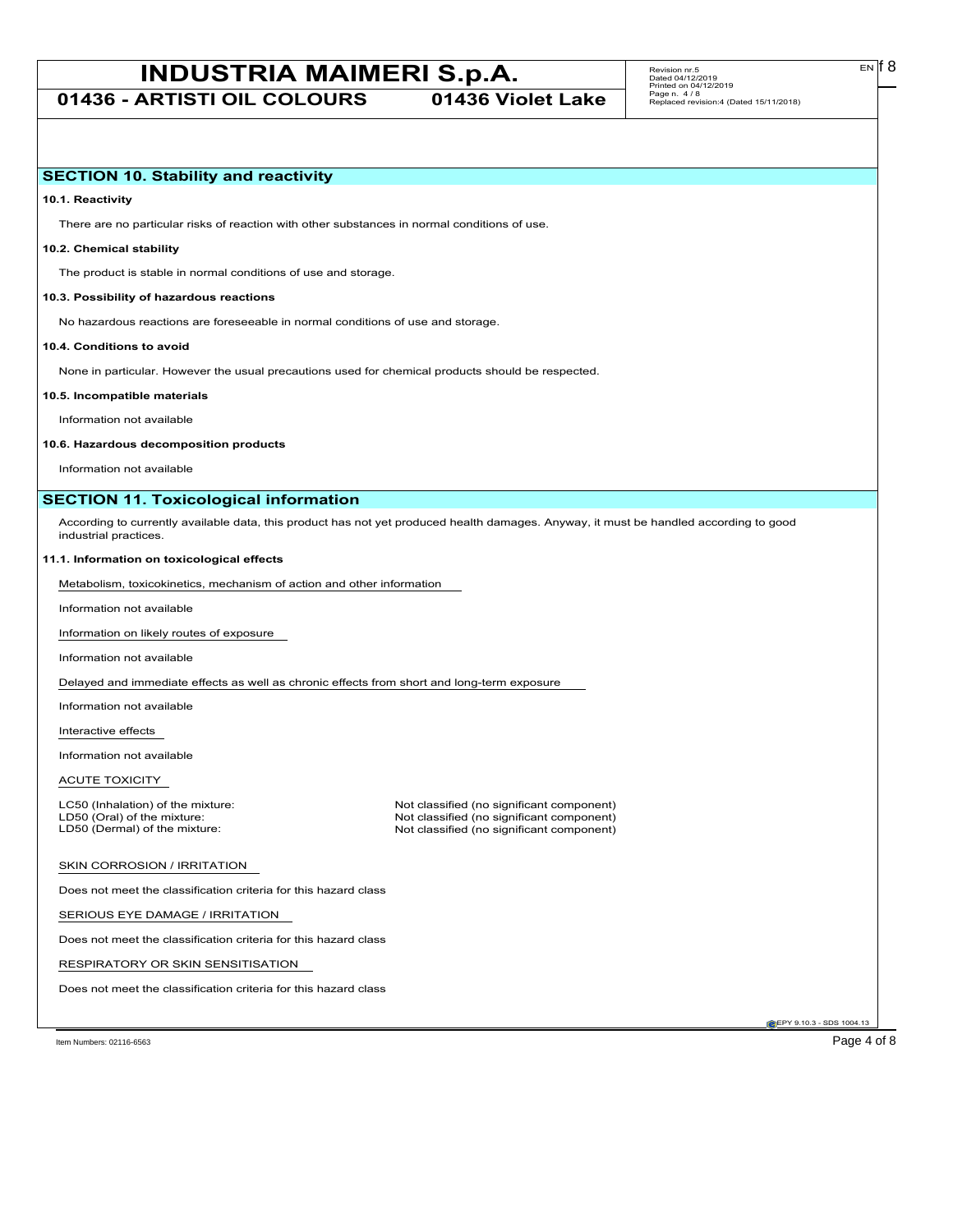**01436 - ARTISTI OIL COLOURS 01436 Violet Lake**

**10.1. Reactivity**

There are no particular risks of reaction with other substances in normal conditions of use.

# **10.2. Chemical stability**

The product is stable in normal conditions of use and storage.

#### **10.3. Possibility of hazardous reactions**

No hazardous reactions are foreseeable in normal conditions of use and storage.

#### **10.4. Conditions to avoid**

None in particular. However the usual precautions used for chemical products should be respected.

#### **10.5. Incompatible materials**

Information not available

#### **10.6. Hazardous decomposition products**

Information not available

# **SECTION 11. Toxicological information**

According to currently available data, this product has not yet produced health damages. Anyway, it must be handled according to good industrial practices.

#### **11.1. Information on toxicological effects**

Metabolism, toxicokinetics, mechanism of action and other information

Information not available

Information on likely routes of exposure

Information not available

Delayed and immediate effects as well as chronic effects from short and long-term exposure

Information not available

Interactive effects

Information not available

ACUTE TOXICITY

LC50 (Inhalation) of the mixture: Not classified (no significant component)<br>
LD50 (Oral) of the mixture: Not classified (no significant component) LD50 (Oral) of the mixture: Not classified (no significant component)<br>
LD50 (Dermal) of the mixture: Not classified (no significant component) Not classified (no significant component)

#### SKIN CORROSION / IRRITATION

Does not meet the classification criteria for this hazard class

SERIOUS EYE DAMAGE / IRRITATION

Does not meet the classification criteria for this hazard class

RESPIRATORY OR SKIN SENSITISATION

Does not meet the classification criteria for this hazard class

EPY 9.10.3 - SDS 1004.13

Item Numbers: 02116-6563 Page 4 of 8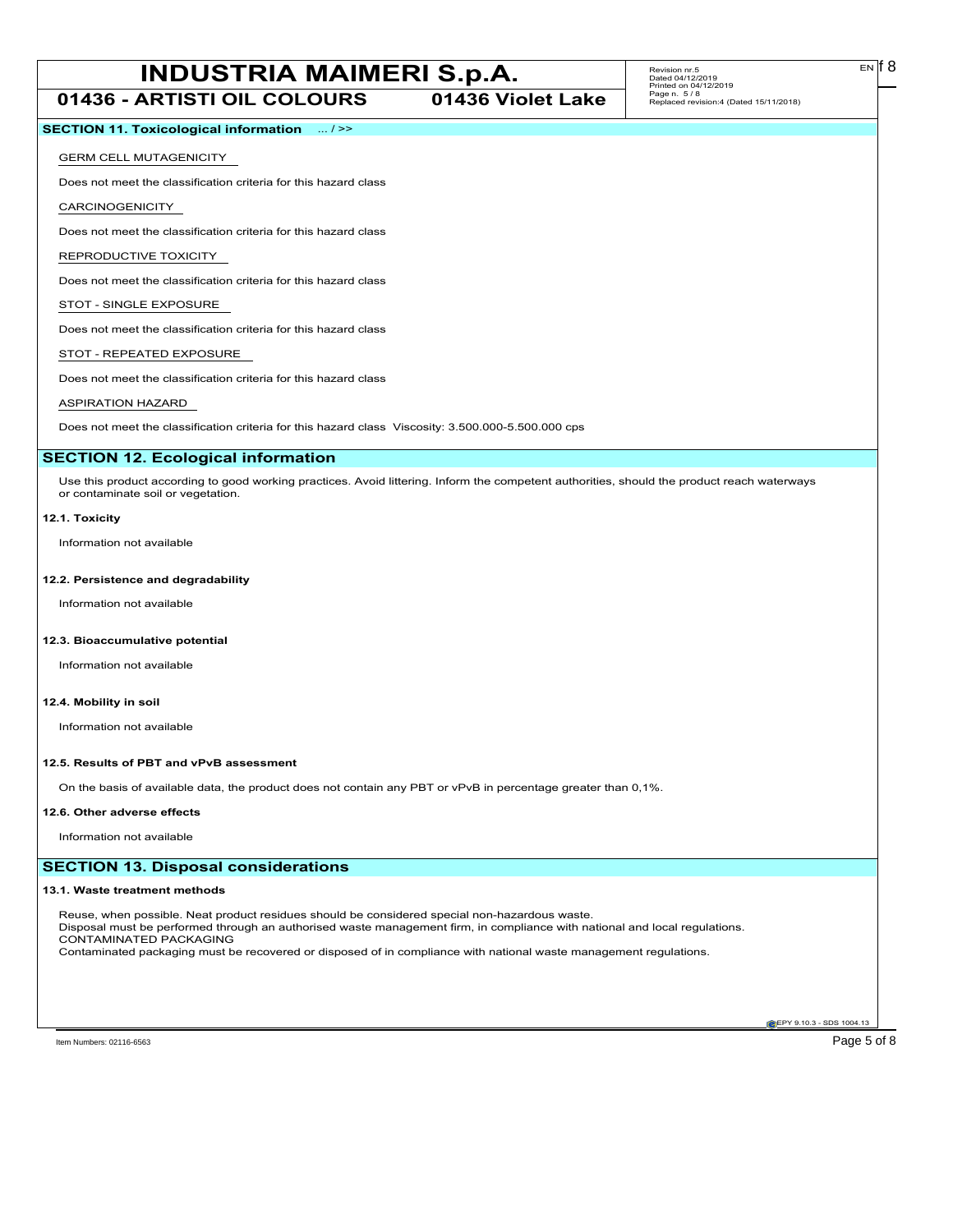**01436 - ARTISTI OIL COLOURS 01436 Violet Lake**

# **SECTION 11. Toxicological information** ... / >>

# GERM CELL MUTAGENICITY

Does not meet the classification criteria for this hazard class

CARCINOGENICITY

Does not meet the classification criteria for this hazard class

REPRODUCTIVE TOXICITY

Does not meet the classification criteria for this hazard class

# STOT - SINGLE EXPOSURE

Does not meet the classification criteria for this hazard class

# STOT - REPEATED EXPOSURE

Does not meet the classification criteria for this hazard class

# ASPIRATION HAZARD

Does not meet the classification criteria for this hazard class Viscosity: 3.500.000-5.500.000 cps

# **SECTION 12. Ecological information**

Use this product according to good working practices. Avoid littering. Inform the competent authorities, should the product reach waterways or contaminate soil or vegetation.

#### **12.1. Toxicity**

Information not available

# **12.2. Persistence and degradability**

Information not available

### **12.3. Bioaccumulative potential**

Information not available

# **12.4. Mobility in soil**

Information not available

### **12.5. Results of PBT and vPvB assessment**

On the basis of available data, the product does not contain any PBT or vPvB in percentage greater than 0,1%.

#### **12.6. Other adverse effects**

Information not available

# **SECTION 13. Disposal considerations**

#### **13.1. Waste treatment methods**

Reuse, when possible. Neat product residues should be considered special non-hazardous waste. Disposal must be performed through an authorised waste management firm, in compliance with national and local regulations. CONTAMINATED PACKAGING Contaminated packaging must be recovered or disposed of in compliance with national waste management regulations.

**EPY 9.10.3 - SDS 1004.13**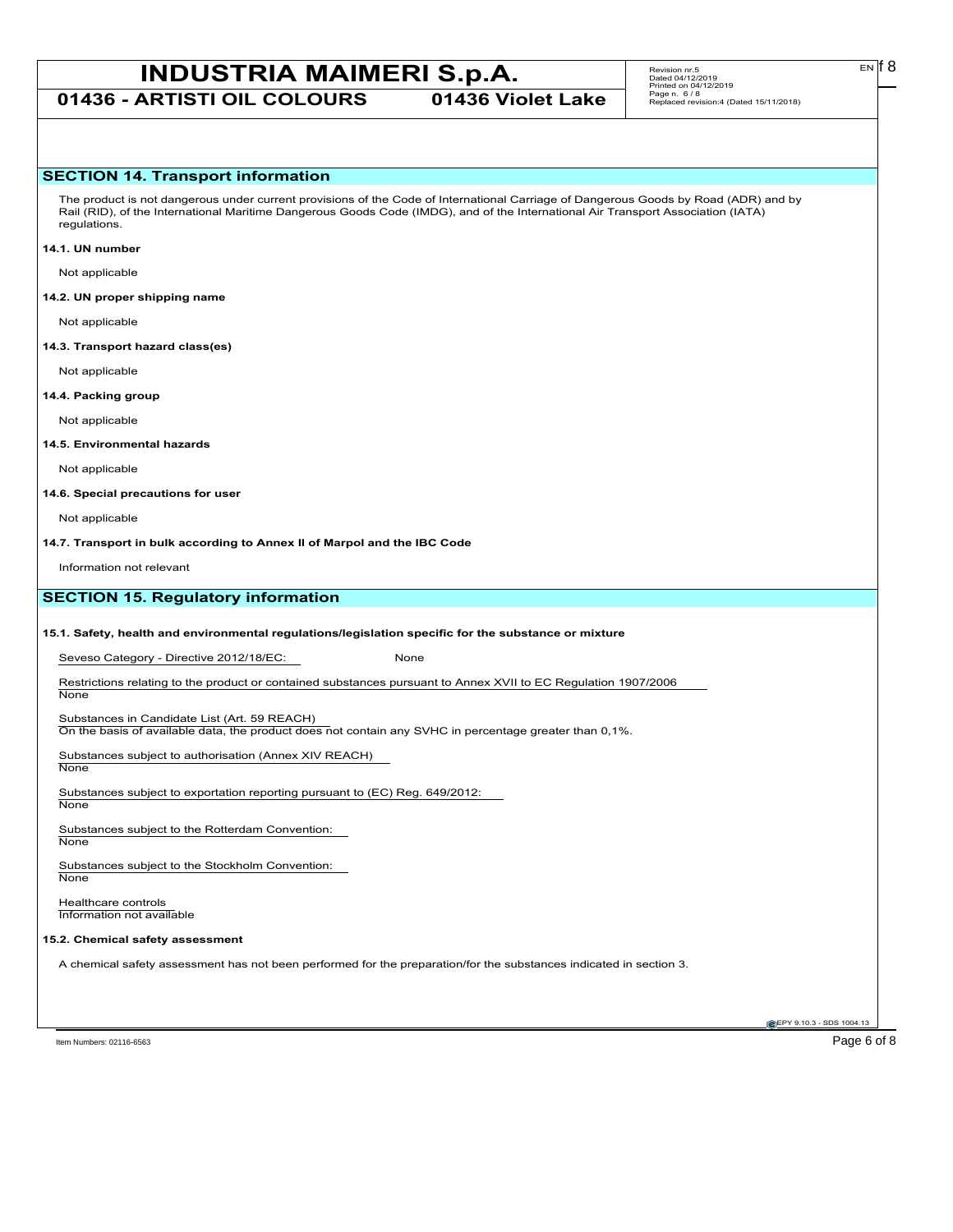**01436 - ARTISTI OIL COLOURS 01436 Violet Lake**

# **SECTION 14. Transport information**

The product is not dangerous under current provisions of the Code of International Carriage of Dangerous Goods by Road (ADR) and by Rail (RID), of the International Maritime Dangerous Goods Code (IMDG), and of the International Air Transport Association (IATA) regulations.

#### **14.1. UN number**

Not applicable

## **14.2. UN proper shipping name**

Not applicable

#### **14.3. Transport hazard class(es)**

Not applicable

### **14.4. Packing group**

Not applicable

### **14.5. Environmental hazards**

Not applicable

#### **14.6. Special precautions for user**

Not applicable

**14.7. Transport in bulk according to Annex II of Marpol and the IBC Code**

Information not relevant

# **SECTION 15. Regulatory information**

#### **15.1. Safety, health and environmental regulations/legislation specific for the substance or mixture**

Seveso Category - Directive 2012/18/EC: None

Restrictions relating to the product or contained substances pursuant to Annex XVII to EC Regulation 1907/2006 **None** 

#### Substances in Candidate List (Art. 59 REACH)

On the basis of available data, the product does not contain any SVHC in percentage greater than 0,1%.

Substances subject to authorisation (Annex XIV REACH) **None** 

Substances subject to exportation reporting pursuant to (EC) Reg. 649/2012:

**None** 

Substances subject to the Rotterdam Convention: None

Substances subject to the Stockholm Convention: **None** 

Healthcare controls Information not available

# **15.2. Chemical safety assessment**

A chemical safety assessment has not been performed for the preparation/for the substances indicated in section 3.

Item Numbers: 02116-6563 Page 6 of 8

EPY 9.10.3 - SDS 1004.13

EN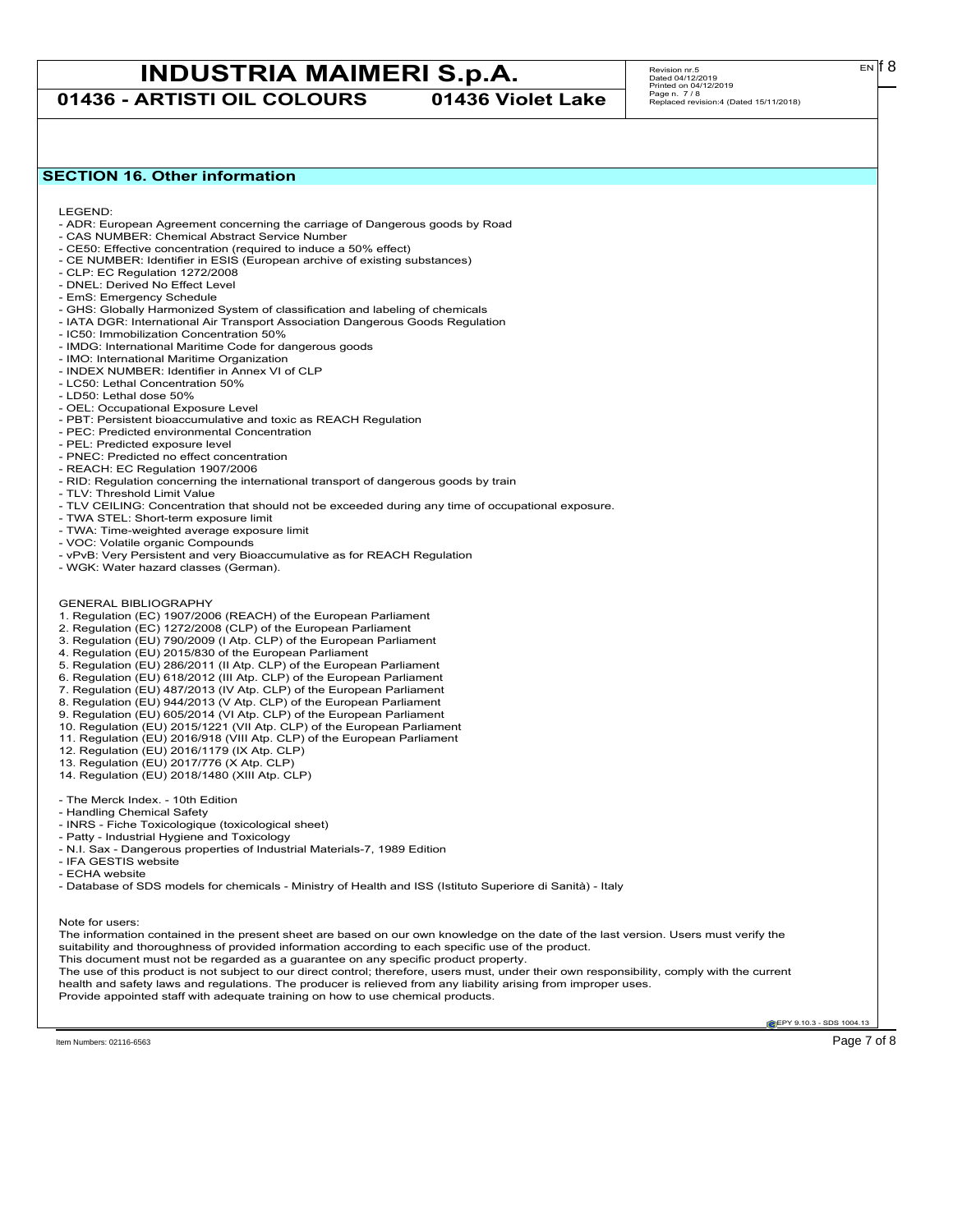**01436 - ARTISTI OIL COLOURS 01436 Violet Lake**

# Revision nr.5 Dated 04/12/2019 Printed on 04/12/2019 Page n. 7 / 8 Replaced revision:4 (Dated 15/11/2018)

# **SECTION 16. Other information**

LEGEND:

- ADR: European Agreement concerning the carriage of Dangerous goods by Road
- CAS NUMBER: Chemical Abstract Service Number - CE50: Effective concentration (required to induce a 50% effect)
- CE NUMBER: Identifier in ESIS (European archive of existing substances)
- CLP: EC Regulation 1272/2008
- DNEL: Derived No Effect Level
- EmS: Emergency Schedule
- GHS: Globally Harmonized System of classification and labeling of chemicals
- IATA DGR: International Air Transport Association Dangerous Goods Regulation
- IC50: Immobilization Concentration 50%
- IMDG: International Maritime Code for dangerous goods
- IMO: International Maritime Organization
- INDEX NUMBER: Identifier in Annex VI of CLP
- LC50: Lethal Concentration 50%
- LD50: Lethal dose 50%
- OEL: Occupational Exposure Level
- PBT: Persistent bioaccumulative and toxic as REACH Regulation
- PEC: Predicted environmental Concentration
- PEL: Predicted exposure level
- PNEC: Predicted no effect concentration
- REACH: EC Regulation 1907/2006
- RID: Regulation concerning the international transport of dangerous goods by train
- TLV: Threshold Limit Value
- TLV CEILING: Concentration that should not be exceeded during any time of occupational exposure.
- TWA STEL: Short-term exposure limit
- TWA: Time-weighted average exposure limit
- VOC: Volatile organic Compounds
- vPvB: Very Persistent and very Bioaccumulative as for REACH Regulation
- WGK: Water hazard classes (German).
- GENERAL BIBLIOGRAPHY
- 1. Regulation (EC) 1907/2006 (REACH) of the European Parliament
- 2. Regulation (EC) 1272/2008 (CLP) of the European Parliament
- 3. Regulation (EU) 790/2009 (I Atp. CLP) of the European Parliament
- 4. Regulation (EU) 2015/830 of the European Parliament
- 5. Regulation (EU) 286/2011 (II Atp. CLP) of the European Parliament
- 6. Regulation (EU) 618/2012 (III Atp. CLP) of the European Parliament
- 7. Regulation (EU) 487/2013 (IV Atp. CLP) of the European Parliament
- 8. Regulation (EU) 944/2013 (V Atp. CLP) of the European Parliament
- 9. Regulation (EU) 605/2014 (VI Atp. CLP) of the European Parliament
- 10. Regulation (EU) 2015/1221 (VII Atp. CLP) of the European Parliament
- 11. Regulation (EU) 2016/918 (VIII Atp. CLP) of the European Parliament
- 12. Regulation (EU) 2016/1179 (IX Atp. CLP)
- 13. Regulation (EU) 2017/776 (X Atp. CLP)
- 14. Regulation (EU) 2018/1480 (XIII Atp. CLP)
- The Merck Index. 10th Edition
- Handling Chemical Safety
- INRS Fiche Toxicologique (toxicological sheet)
- Patty Industrial Hygiene and Toxicology
- N.I. Sax Dangerous properties of Industrial Materials-7, 1989 Edition
- IFA GESTIS website
- ECHA website
- Database of SDS models for chemicals Ministry of Health and ISS (Istituto Superiore di Sanità) Italy

Note for users:

The information contained in the present sheet are based on our own knowledge on the date of the last version. Users must verify the suitability and thoroughness of provided information according to each specific use of the product. This document must not be regarded as a guarantee on any specific product property. The use of this product is not subject to our direct control; therefore, users must, under their own responsibility, comply with the current health and safety laws and regulations. The producer is relieved from any liability arising from improper uses.

Provide appointed staff with adequate training on how to use chemical products.

**EPY 9.10.3 - SDS 1004.13**